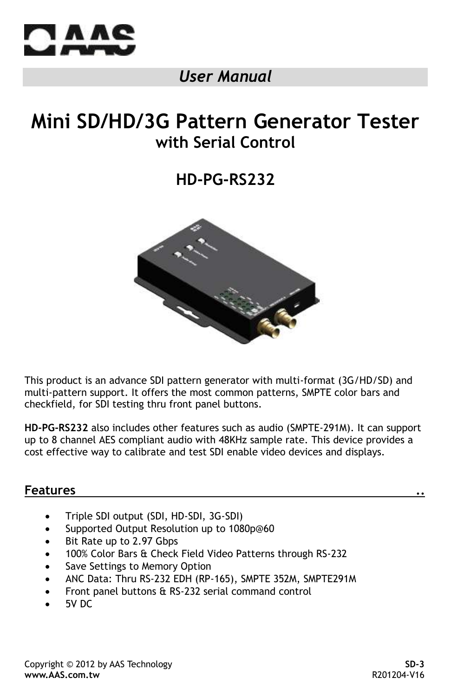

## *User Manual*

## **Mini SD/HD/3G Pattern Generator Tester with Serial Control**

**HD-PG-RS232**



This product is an advance SDI pattern generator with multi-format (3G/HD/SD) and multi-pattern support. It offers the most common patterns, SMPTE color bars and checkfield, for SDI testing thru front panel buttons.

**HD-PG-RS232** also includes other features such as audio (SMPTE-291M). It can support up to 8 channel AES compliant audio with 48KHz sample rate. This device provides a cost effective way to calibrate and test SDI enable video devices and displays.

#### **Features ..**

- Triple SDI output (SDI, HD-SDI, 3G-SDI)
- Supported Output Resolution up to 1080p@60
- Bit Rate up to 2.97 Gbps
- 100% Color Bars & Check Field Video Patterns through RS-232
- Save Settings to Memory Option
- ANC Data: Thru RS-232 EDH (RP-165), SMPTE 352M, SMPTE291M
- Front panel buttons & RS-232 serial command control
- 5V DC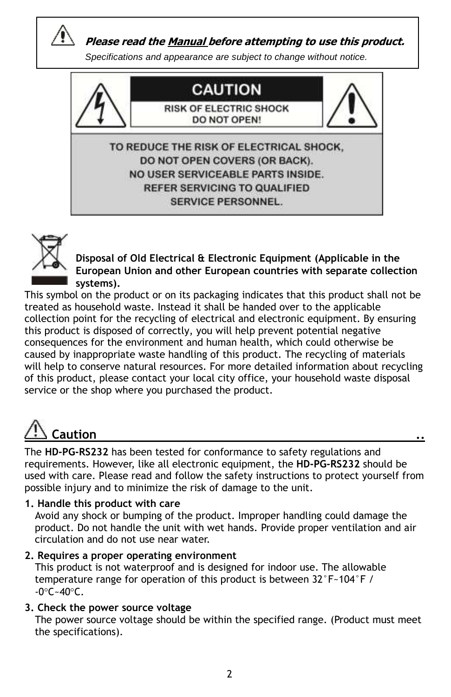

 **Please read the Manual before attempting to use this product.**

*Specifications and appearance are subject to change without notice.*





**Disposal of Old Electrical & Electronic Equipment (Applicable in the European Union and other European countries with separate collection systems).**

This symbol on the product or on its packaging indicates that this product shall not be treated as household waste. Instead it shall be handed over to the applicable collection point for the recycling of electrical and electronic equipment. By ensuring this product is disposed of correctly, you will help prevent potential negative consequences for the environment and human health, which could otherwise be caused by inappropriate waste handling of this product. The recycling of materials will help to conserve natural resources. For more detailed information about recycling of this product, please contact your local city office, your household waste disposal service or the shop where you purchased the product.

# **Caution ..**

The **HD-PG-RS232** has been tested for conformance to safety regulations and requirements. However, like all electronic equipment, the **HD-PG-RS232** should be used with care. Please read and follow the safety instructions to protect yourself from possible injury and to minimize the risk of damage to the unit.

#### **1. Handle this product with care**

 Avoid any shock or bumping of the product. Improper handling could damage the product. Do not handle the unit with wet hands. Provide proper ventilation and air circulation and do not use near water.

#### **2. Requires a proper operating environment**

 This product is not waterproof and is designed for indoor use. The allowable temperature range for operation of this product is between 32°F~104°F /  $-0^{\circ}$ C $-40^{\circ}$ C.

#### **3. Check the power source voltage**

 The power source voltage should be within the specified range. (Product must meet the specifications).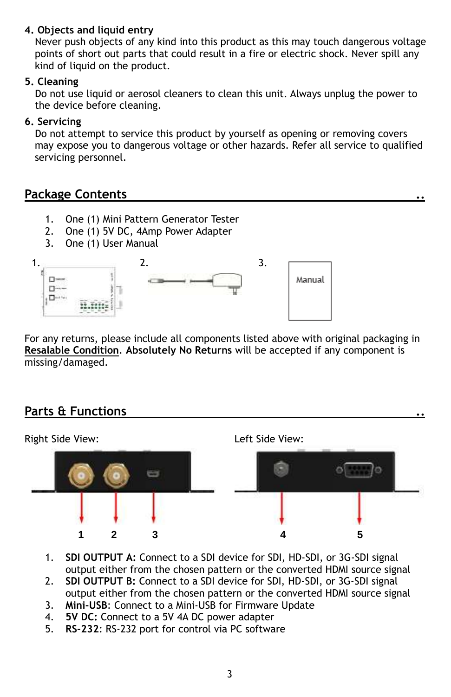#### **4. Objects and liquid entry**

 Never push objects of any kind into this product as this may touch dangerous voltage points of short out parts that could result in a fire or electric shock. Never spill any kind of liquid on the product.

#### **5. Cleaning**

 Do not use liquid or aerosol cleaners to clean this unit. Always unplug the power to the device before cleaning.

#### **6. Servicing**

 Do not attempt to service this product by yourself as opening or removing covers may expose you to dangerous voltage or other hazards. Refer all service to qualified servicing personnel.

## **Package Contents ..**

- 1. One (1) Mini Pattern Generator Tester
- 2. One (1) 5V DC, 4Amp Power Adapter
- 3. One (1) User Manual



For any returns, please include all components listed above with original packaging in **Resalable Condition**. **Absolutely No Returns** will be accepted if any component is missing/damaged.

## **Parts & Functions ..**



- 1. **SDI OUTPUT A:** Connect to a SDI device for SDI, HD-SDI, or 3G-SDI signal output either from the chosen pattern or the converted HDMI source signal
- 2. **SDI OUTPUT B:** Connect to a SDI device for SDI, HD-SDI, or 3G-SDI signal output either from the chosen pattern or the converted HDMI source signal
- 3. **Mini-USB**: Connect to a Mini-USB for Firmware Update
- 4. **5V DC:** Connect to a 5V 4A DC power adapter
- 5. **RS-232**: RS-232 port for control via PC software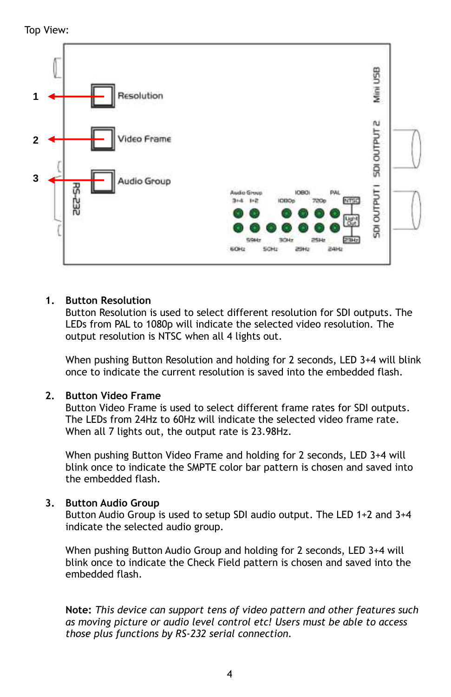Top View:



#### **1. Button Resolution**

Button Resolution is used to select different resolution for SDI outputs. The LEDs from PAL to 1080p will indicate the selected video resolution. The output resolution is NTSC when all 4 lights out.

When pushing Button Resolution and holding for 2 seconds, LED 3+4 will blink once to indicate the current resolution is saved into the embedded flash.

#### **2. Button Video Frame**

Button Video Frame is used to select different frame rates for SDI outputs. The LEDs from 24Hz to 60Hz will indicate the selected video frame rate. When all 7 lights out, the output rate is 23.98Hz.

When pushing Button Video Frame and holding for 2 seconds, LED 3+4 will blink once to indicate the SMPTE color bar pattern is chosen and saved into the embedded flash.

#### **3. Button Audio Group**

Button Audio Group is used to setup SDI audio output. The LED 1+2 and 3+4 indicate the selected audio group.

When pushing Button Audio Group and holding for 2 seconds, LED 3+4 will blink once to indicate the Check Field pattern is chosen and saved into the embedded flash.

**Note:** *This device can support tens of video pattern and other features such as moving picture or audio level control etc! Users must be able to access those plus functions by RS-232 serial connection.*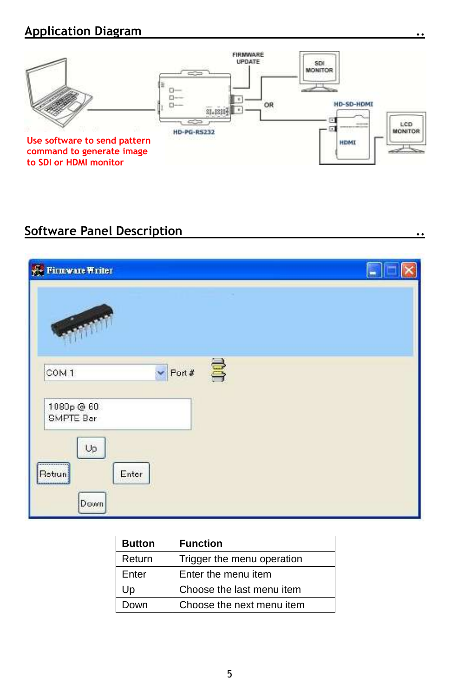## **Application Diagram**



## **Software Panel Description ..**



| <b>Button</b> | <b>Function</b>            |
|---------------|----------------------------|
| Return        | Trigger the menu operation |
| Enter         | Enter the menu item        |
| Up            | Choose the last menu item  |
| Down          | Choose the next menu item  |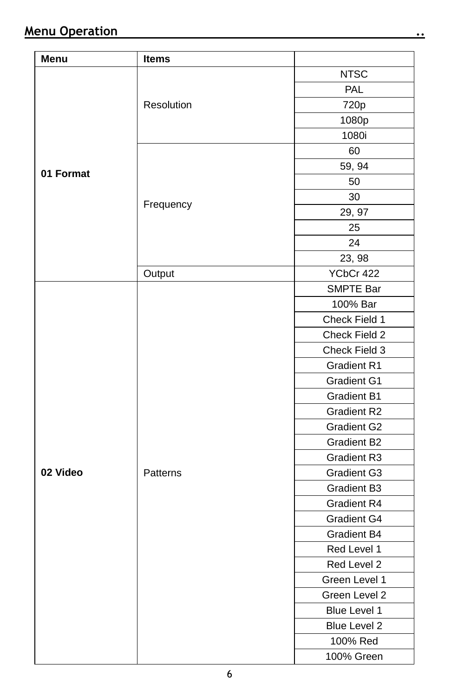| Menu      | <b>Items</b> |                    |
|-----------|--------------|--------------------|
|           |              | <b>NTSC</b>        |
|           |              | PAL                |
|           | Resolution   | 720p               |
|           |              | 1080p              |
|           |              | 1080i              |
|           |              | 60                 |
|           |              | 59, 94             |
| 01 Format |              | 50                 |
|           |              | 30                 |
|           | Frequency    | 29, 97             |
|           |              | 25                 |
|           |              | 24                 |
|           |              | 23, 98             |
|           | Output       | YCbCr 422          |
|           |              | SMPTE Bar          |
|           |              | 100% Bar           |
|           |              | Check Field 1      |
|           |              | Check Field 2      |
|           | Patterns     | Check Field 3      |
|           |              | Gradient R1        |
|           |              | Gradient G1        |
|           |              | <b>Gradient B1</b> |
|           |              | <b>Gradient R2</b> |
|           |              | Gradient G2        |
|           |              | <b>Gradient B2</b> |
|           |              | Gradient R3        |
| 02 Video  |              | Gradient G3        |
|           |              | Gradient B3        |
|           |              | Gradient R4        |
|           |              | Gradient G4        |
|           |              | Gradient B4        |
|           |              | Red Level 1        |
|           |              | Red Level 2        |
|           |              | Green Level 1      |
|           |              | Green Level 2      |
|           |              | Blue Level 1       |
|           |              | Blue Level 2       |
|           |              | 100% Red           |
|           |              | 100% Green         |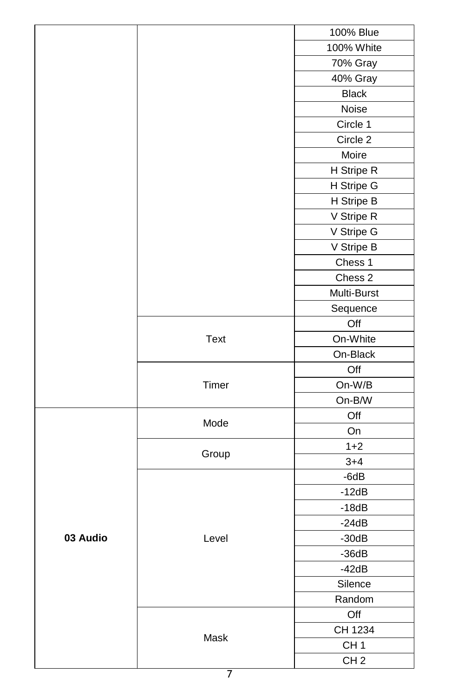|          |       | 100% Blue       |
|----------|-------|-----------------|
|          |       | 100% White      |
|          |       | 70% Gray        |
|          |       | 40% Gray        |
|          |       | <b>Black</b>    |
|          |       | Noise           |
|          |       | Circle 1        |
|          |       | Circle 2        |
|          |       | Moire           |
|          |       | H Stripe R      |
|          |       | H Stripe G      |
|          |       | H Stripe B      |
|          |       | V Stripe R      |
|          |       | V Stripe G      |
|          |       | V Stripe B      |
|          |       | Chess 1         |
|          |       | Chess 2         |
|          |       | Multi-Burst     |
|          |       | Sequence        |
|          |       | Off             |
|          | Text  | On-White        |
|          |       | On-Black        |
|          | Timer | Off             |
|          |       | On-W/B          |
|          |       | On-B/W          |
|          | Mode  | Off             |
|          |       | On              |
| 03 Audio | Group | $1 + 2$         |
|          |       | $3 + 4$         |
|          | Level | $-6dB$          |
|          |       | $-12dB$         |
|          |       | $-18dB$         |
|          |       | $-24dB$         |
|          |       | $-30dB$         |
|          |       | $-36dB$         |
|          |       | $-42dB$         |
|          |       | Silence         |
|          |       | Random          |
|          |       | Off             |
|          | Mask  | CH 1234         |
|          |       | CH <sub>1</sub> |
|          |       | CH <sub>2</sub> |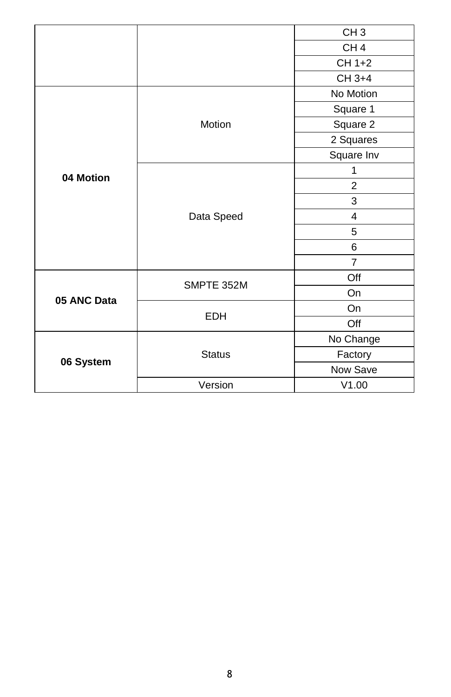|             |               | CH <sub>3</sub> |
|-------------|---------------|-----------------|
|             |               | CH <sub>4</sub> |
|             |               | CH 1+2          |
|             |               | CH 3+4          |
|             | Motion        | No Motion       |
|             |               | Square 1        |
|             |               | Square 2        |
|             |               | 2 Squares       |
|             |               | Square Inv      |
|             |               | 1               |
| 04 Motion   |               | $\overline{2}$  |
|             | Data Speed    | 3               |
|             |               | 4               |
|             |               | 5               |
|             |               | 6               |
|             |               | $\overline{7}$  |
| 05 ANC Data | SMPTE 352M    | Off             |
|             |               | <b>On</b>       |
|             | <b>EDH</b>    | On              |
|             |               | Off             |
| 06 System   | <b>Status</b> | No Change       |
|             |               | Factory         |
|             |               | Now Save        |
|             | Version       | V1.00           |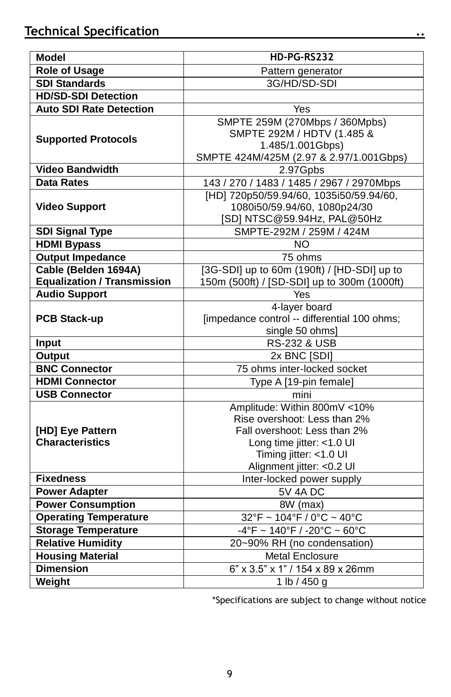| <b>Model</b>                               | HD-PG-RS232                                                                                                                                                                      |  |  |
|--------------------------------------------|----------------------------------------------------------------------------------------------------------------------------------------------------------------------------------|--|--|
| <b>Role of Usage</b>                       | Pattern generator                                                                                                                                                                |  |  |
| <b>SDI Standards</b>                       | 3G/HD/SD-SDI                                                                                                                                                                     |  |  |
| <b>HD/SD-SDI Detection</b>                 |                                                                                                                                                                                  |  |  |
| <b>Auto SDI Rate Detection</b>             | Yes                                                                                                                                                                              |  |  |
| <b>Supported Protocols</b>                 | SMPTE 259M (270Mbps / 360Mpbs)<br>SMPTE 292M / HDTV (1.485 &<br>1.485/1.001Gbps)<br>SMPTE 424M/425M (2.97 & 2.97/1.001Gbps)                                                      |  |  |
| <b>Video Bandwidth</b>                     | 2.97Gpbs                                                                                                                                                                         |  |  |
| <b>Data Rates</b>                          | 143 / 270 / 1483 / 1485 / 2967 / 2970Mbps                                                                                                                                        |  |  |
| <b>Video Support</b>                       | [HD] 720p50/59.94/60, 1035i50/59.94/60,<br>1080i50/59.94/60, 1080p24/30<br>[SD] NTSC@59.94Hz, PAL@50Hz                                                                           |  |  |
| <b>SDI Signal Type</b>                     | SMPTE-292M / 259M / 424M                                                                                                                                                         |  |  |
| <b>HDMI Bypass</b>                         | ΝO                                                                                                                                                                               |  |  |
| <b>Output Impedance</b>                    | 75 ohms                                                                                                                                                                          |  |  |
| Cable (Belden 1694A)                       | [3G-SDI] up to 60m (190ft) / [HD-SDI] up to                                                                                                                                      |  |  |
| <b>Equalization / Transmission</b>         | 150m (500ft) / [SD-SDI] up to 300m (1000ft)                                                                                                                                      |  |  |
| <b>Audio Support</b>                       | Yes                                                                                                                                                                              |  |  |
| <b>PCB Stack-up</b>                        | 4-layer board<br>[impedance control -- differential 100 ohms;<br>single 50 ohms]                                                                                                 |  |  |
| Input                                      | <b>RS-232 &amp; USB</b>                                                                                                                                                          |  |  |
| Output                                     | 2x BNC [SDI]                                                                                                                                                                     |  |  |
| <b>BNC Connector</b>                       | 75 ohms inter-locked socket                                                                                                                                                      |  |  |
| <b>HDMI Connector</b>                      | Type A [19-pin female]                                                                                                                                                           |  |  |
| <b>USB Connector</b>                       | mini                                                                                                                                                                             |  |  |
| [HD] Eye Pattern<br><b>Characteristics</b> | Amplitude: Within 800mV <10%<br>Rise overshoot: Less than 2%<br>Fall overshoot: Less than 2%<br>Long time jitter: <1.0 UI<br>Timing jitter: <1.0 UI<br>Alignment jitter: <0.2 UI |  |  |
| <b>Fixedness</b>                           | Inter-locked power supply                                                                                                                                                        |  |  |
| <b>Power Adapter</b>                       | <b>5V 4A DC</b>                                                                                                                                                                  |  |  |
| <b>Power Consumption</b>                   | 8W (max)                                                                                                                                                                         |  |  |
| <b>Operating Temperature</b>               | $32^{\circ}$ F ~ 104 $^{\circ}$ F / 0 $^{\circ}$ C ~ 40 $^{\circ}$ C                                                                                                             |  |  |
| <b>Storage Temperature</b>                 | $-4^{\circ}$ F ~ 140°F / -20°C ~ 60°C                                                                                                                                            |  |  |
| <b>Relative Humidity</b>                   | 20~90% RH (no condensation)                                                                                                                                                      |  |  |
| <b>Housing Material</b>                    | <b>Metal Enclosure</b>                                                                                                                                                           |  |  |
| <b>Dimension</b>                           | 6" x 3.5" x 1" / 154 x 89 x 26mm                                                                                                                                                 |  |  |
| Weight                                     | 1 lb / 450 g                                                                                                                                                                     |  |  |

\*Specifications are subject to change without notice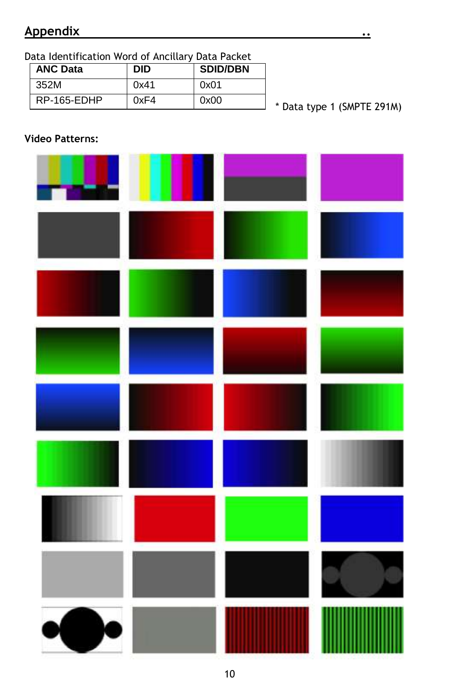## **Appendix ..**

Data Identification Word of Ancillary Data Packet

| <b>ANC Data</b> | DID  | <b>SDID/DBN</b> |
|-----------------|------|-----------------|
| 352M            | 0x41 | 0x01            |
| RP-165-EDHP     | 0xF4 | 0x00            |

\* Data type 1 (SMPTE 291M)

#### **Video Patterns:**

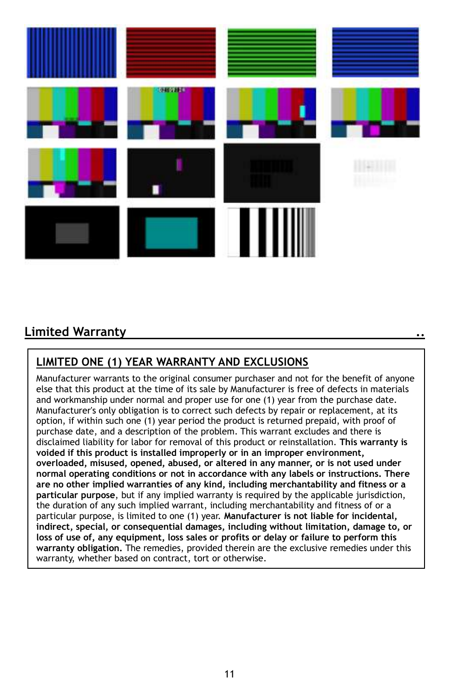

## **Limited Warranty ..**

## **LIMITED ONE (1) YEAR WARRANTY AND EXCLUSIONS**

Manufacturer warrants to the original consumer purchaser and not for the benefit of anyone else that this product at the time of its sale by Manufacturer is free of defects in materials and workmanship under normal and proper use for one (1) year from the purchase date. Manufacturer's only obligation is to correct such defects by repair or replacement, at its option, if within such one (1) year period the product is returned prepaid, with proof of purchase date, and a description of the problem. This warrant excludes and there is disclaimed liability for labor for removal of this product or reinstallation. **This warranty is voided if this product is installed improperly or in an improper environment, overloaded, misused, opened, abused, or altered in any manner, or is not used under normal operating conditions or not in accordance with any labels or instructions. There are no other implied warranties of any kind, including merchantability and fitness or a particular purpose**, but if any implied warranty is required by the applicable jurisdiction, the duration of any such implied warrant, including merchantability and fitness of or a particular purpose, is limited to one (1) year. **Manufacturer is not liable for incidental, indirect, special, or consequential damages, including without limitation, damage to, or loss of use of, any equipment, loss sales or profits or delay or failure to perform this warranty obligation.** The remedies, provided therein are the exclusive remedies under this warranty, whether based on contract, tort or otherwise.